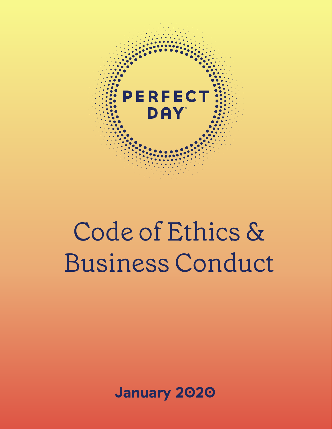

# Code of Ethics & Business Conduct

**January 2020**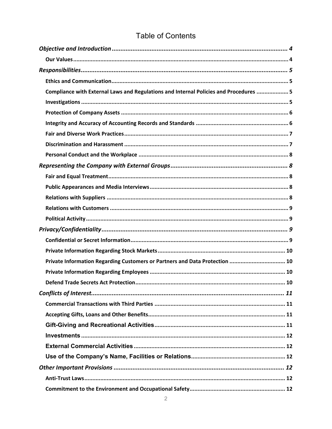# **Table of Contents**

| Compliance with External Laws and Regulations and Internal Policies and Procedures  5 |  |
|---------------------------------------------------------------------------------------|--|
|                                                                                       |  |
|                                                                                       |  |
|                                                                                       |  |
|                                                                                       |  |
|                                                                                       |  |
|                                                                                       |  |
|                                                                                       |  |
|                                                                                       |  |
|                                                                                       |  |
|                                                                                       |  |
|                                                                                       |  |
|                                                                                       |  |
|                                                                                       |  |
|                                                                                       |  |
|                                                                                       |  |
| Private Information Regarding Customers or Partners and Data Protection  10           |  |
|                                                                                       |  |
|                                                                                       |  |
|                                                                                       |  |
|                                                                                       |  |
|                                                                                       |  |
|                                                                                       |  |
|                                                                                       |  |
|                                                                                       |  |
|                                                                                       |  |
|                                                                                       |  |
|                                                                                       |  |
|                                                                                       |  |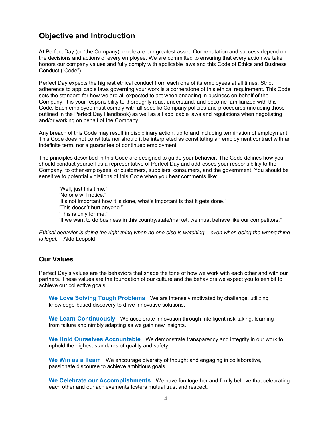## **Objective and Introduction**

At Perfect Day (or "the Company)people are our greatest asset. Our reputation and success depend on the decisions and actions of every employee. We are committed to ensuring that every action we take honors our company values and fully comply with applicable laws and this Code of Ethics and Business Conduct ("Code").

Perfect Day expects the highest ethical conduct from each one of its employees at all times. Strict adherence to applicable laws governing your work is a cornerstone of this ethical requirement. This Code sets the standard for how we are all expected to act when engaging in business on behalf of the Company. It is your responsibility to thoroughly read, understand, and become familiarized with this Code. Each employee must comply with all specific Company policies and procedures (including those outlined in the Perfect Day Handbook) as well as all applicable laws and regulations when negotiating and/or working on behalf of the Company.

Any breach of this Code may result in disciplinary action, up to and including termination of employment. This Code does not constitute nor should it be interpreted as constituting an employment contract with an indefinite term, nor a guarantee of continued employment.

The principles described in this Code are designed to guide your behavior. The Code defines how you should conduct yourself as a representative of Perfect Day and addresses your responsibility to the Company, to other employees, or customers, suppliers, consumers, and the government. You should be sensitive to potential violations of this Code when you hear comments like:

"Well, just this time." "No one will notice." "It's not important how it is done, what's important is that it gets done." "This doesn't hurt anyone." "This is only for me." "If we want to do business in this country/state/market, we must behave like our competitors."

*Ethical behavior is doing the right thing when no one else is watching – even when doing the wrong thing is legal.* – Aldo Leopold

#### **Our Values**

Perfect Day's values are the behaviors that shape the tone of how we work with each other and with our partners. These values are the foundation of our culture and the behaviors we expect you to exhibit to achieve our collective goals.

**We Love Solving Tough Problems** We are intensely motivated by challenge, utilizing knowledge-based discovery to drive innovative solutions.

**We Learn Continuously** We accelerate innovation through intelligent risk-taking, learning from failure and nimbly adapting as we gain new insights.

**We Hold Ourselves Accountable** We demonstrate transparency and integrity in our work to uphold the highest standards of quality and safety.

**We Win as a Team** We encourage diversity of thought and engaging in collaborative, passionate discourse to achieve ambitious goals.

**We Celebrate our Accomplishments** We have fun together and firmly believe that celebrating each other and our achievements fosters mutual trust and respect.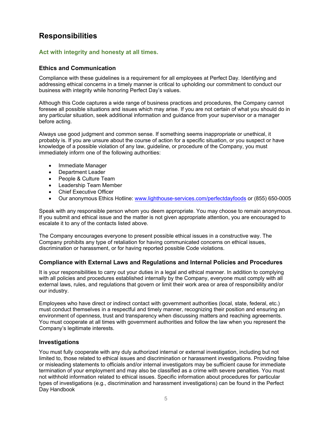# **Responsibilities**

#### **Act with integrity and honesty at all times.**

#### **Ethics and Communication**

Compliance with these guidelines is a requirement for all employees at Perfect Day. Identifying and addressing ethical concerns in a timely manner is critical to upholding our commitment to conduct our business with integrity while honoring Perfect Day's values.

Although this Code captures a wide range of business practices and procedures, the Company cannot foresee all possible situations and issues which may arise. If you are not certain of what you should do in any particular situation, seek additional information and guidance from your supervisor or a manager before acting.

Always use good judgment and common sense. If something seems inappropriate or unethical, it probably is. If you are unsure about the course of action for a specific situation, or you suspect or have knowledge of a possible violation of any law, guideline, or procedure of the Company, you must immediately inform one of the following authorities:

- Immediate Manager
- Department Leader
- People & Culture Team
- Leadership Team Member
- Chief Executive Officer
- Our anonymous Ethics Hotline: www.lighthouse-services.com/perfectdayfoods or (855) 650-0005

Speak with any responsible person whom you deem appropriate. You may choose to remain anonymous. If you submit and ethical issue and the matter is not given appropriate attention, you are encouraged to escalate it to any of the contacts listed above.

The Company encourages everyone to present possible ethical issues in a constructive way. The Company prohibits any type of retaliation for having communicated concerns on ethical issues, discrimination or harassment, or for having reported possible Code violations.

#### **Compliance with External Laws and Regulations and Internal Policies and Procedures**

It is your responsibilities to carry out your duties in a legal and ethical manner. In addition to complying with all policies and procedures established internally by the Company, everyone must comply with all external laws, rules, and regulations that govern or limit their work area or area of responsibility and/or our industry.

Employees who have direct or indirect contact with government authorities (local, state, federal, etc.) must conduct themselves in a respectful and timely manner, recognizing their position and ensuring an environment of openness, trust and transparency when discussing matters and reaching agreements. You must cooperate at all times with government authorities and follow the law when you represent the Company's legitimate interests.

#### **Investigations**

You must fully cooperate with any duly authorized internal or external investigation, including but not limited to, those related to ethical issues and discrimination or harassment investigations. Providing false or misleading statements to officials and/or internal investigators may be sufficient cause for immediate termination of your employment and may also be classified as a crime with severe penalties. You must not withhold information related to ethical issues. Specific information about procedures for particular types of investigations (e.g., discrimination and harassment investigations) can be found in the Perfect Day Handbook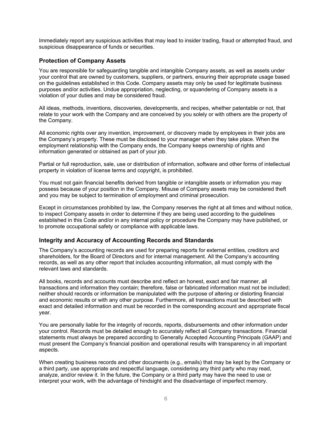Immediately report any suspicious activities that may lead to insider trading, fraud or attempted fraud, and suspicious disappearance of funds or securities.

#### **Protection of Company Assets**

You are responsible for safeguarding tangible and intangible Company assets, as well as assets under your control that are owned by customers, suppliers, or partners, ensuring their appropriate usage based on the guidelines established in this Code. Company assets may only be used for legitimate business purposes and/or activities. Undue appropriation, neglecting, or squandering of Company assets is a violation of your duties and may be considered fraud.

All ideas, methods, inventions, discoveries, developments, and recipes, whether patentable or not, that relate to your work with the Company and are conceived by you solely or with others are the property of the Company.

All economic rights over any invention, improvement, or discovery made by employees in their jobs are the Company's property. These must be disclosed to your manager when they take place. When the employment relationship with the Company ends, the Company keeps ownership of rights and information generated or obtained as part of your job.

Partial or full reproduction, sale, use or distribution of information, software and other forms of intellectual property in violation of license terms and copyright, is prohibited.

You must not gain financial benefits derived from tangible or intangible assets or information you may possess because of your position in the Company. Misuse of Company assets may be considered theft and you may be subject to termination of employment and criminal prosecution.

Except in circumstances prohibited by law, the Company reserves the right at all times and without notice, to inspect Company assets in order to determine if they are being used according to the guidelines established in this Code and/or in any internal policy or procedure the Company may have published, or to promote occupational safety or compliance with applicable laws.

#### **Integrity and Accuracy of Accounting Records and Standards**

The Company's accounting records are used for preparing reports for external entities, creditors and shareholders, for the Board of Directors and for internal management. All the Company's accounting records, as well as any other report that includes accounting information, all must comply with the relevant laws and standards.

All books, records and accounts must describe and reflect an honest, exact and fair manner, all transactions and information they contain; therefore, false or fabricated information must not be included; neither should records or information be manipulated with the purpose of altering or distorting financial and economic results or with any other purpose. Furthermore, all transactions must be described with exact and detailed information and must be recorded in the corresponding account and appropriate fiscal year.

You are personally liable for the integrity of records, reports, disbursements and other information under your control. Records must be detailed enough to accurately reflect all Company transactions. Financial statements must always be prepared according to Generally Accepted Accounting Principals (GAAP) and must present the Company's financial position and operational results with transparency in all important aspects.

When creating business records and other documents (e.g., emails) that may be kept by the Company or a third party, use appropriate and respectful language, considering any third party who may read, analyze, and/or review it. In the future, the Company or a third party may have the need to use or interpret your work, with the advantage of hindsight and the disadvantage of imperfect memory.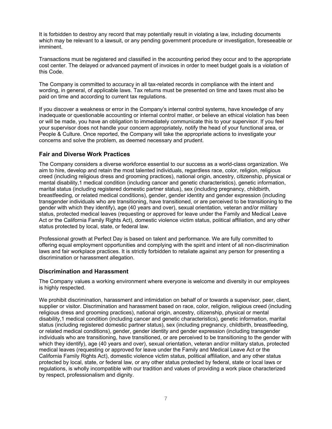It is forbidden to destroy any record that may potentially result in violating a law, including documents which may be relevant to a lawsuit, or any pending government procedure or investigation, foreseeable or imminent.

Transactions must be registered and classified in the accounting period they occur and to the appropriate cost center. The delayed or advanced payment of invoices in order to meet budget goals is a violation of this Code.

The Company is committed to accuracy in all tax-related records in compliance with the intent and wording, in general, of applicable laws. Tax returns must be presented on time and taxes must also be paid on time and according to current tax regulations.

If you discover a weakness or error in the Company's internal control systems, have knowledge of any inadequate or questionable accounting or internal control matter, or believe an ethical violation has been or will be made, you have an obligation to immediately communicate this to your supervisor. If you feel your supervisor does not handle your concern appropriately, notify the head of your functional area, or People & Culture. Once reported, the Company will take the appropriate actions to investigate your concerns and solve the problem, as deemed necessary and prudent.

#### **Fair and Diverse Work Practices**

The Company considers a diverse workforce essential to our success as a world-class organization. We aim to hire, develop and retain the most talented individuals, regardless race, color, religion, religious creed (including religious dress and grooming practices), national origin, ancestry, citizenship, physical or mental disability,1 medical condition (including cancer and genetic characteristics), genetic information, marital status (including registered domestic partner status), sex (including pregnancy, childbirth, breastfeeding, or related medical conditions), gender, gender identity and gender expression (including transgender individuals who are transitioning, have transitioned, or are perceived to be transitioning to the gender with which they identify), age (40 years and over), sexual orientation, veteran and/or military status, protected medical leaves (requesting or approved for leave under the Family and Medical Leave Act or the California Family Rights Act), domestic violence victim status, political affiliation, and any other status protected by local, state, or federal law.

Professional growth at Perfect Day is based on talent and performance. We are fully committed to offering equal employment opportunities and complying with the spirit and intent of all non-discrimination laws and fair workplace practices. It is strictly forbidden to retaliate against any person for presenting a discrimination or harassment allegation.

#### **Discrimination and Harassment**

The Company values a working environment where everyone is welcome and diversity in our employees is highly respected.

We prohibit discrimination, harassment and intimidation on behalf of or towards a supervisor, peer, client, supplier or visitor. Discrimination and harassment based on race, color, religion, religious creed (including religious dress and grooming practices), national origin, ancestry, citizenship, physical or mental disability,1 medical condition (including cancer and genetic characteristics), genetic information, marital status (including registered domestic partner status), sex (including pregnancy, childbirth, breastfeeding, or related medical conditions), gender, gender identity and gender expression (including transgender individuals who are transitioning, have transitioned, or are perceived to be transitioning to the gender with which they identify), age (40 years and over), sexual orientation, veteran and/or military status, protected medical leaves (requesting or approved for leave under the Family and Medical Leave Act or the California Family Rights Act), domestic violence victim status, political affiliation, and any other status protected by local, state, or federal law, or any other status protected by federal, state or local laws or regulations, is wholly incompatible with our tradition and values of providing a work place characterized by respect, professionalism and dignity.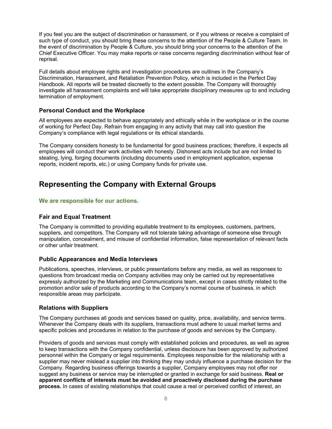If you feel you are the subject of discrimination or harassment, or if you witness or receive a complaint of such type of conduct, you should bring these concerns to the attention of the People & Culture Team. In the event of discrimination by People & Culture, you should bring your concerns to the attention of the Chief Executive Officer. You may make reports or raise concerns regarding discrimination without fear of reprisal.

Full details about employee rights and investigation procedures are outlines in the Company's Discrimination, Harassment, and Retaliation Prevention Policy, which is included in the Perfect Day Handbook. All reports will be treated discreetly to the extent possible. The Company will thoroughly investigate all harassment complaints and will take appropriate disciplinary measures up to and including termination of employment.

#### **Personal Conduct and the Workplace**

All employees are expected to behave appropriately and ethically while in the workplace or in the course of working for Perfect Day. Refrain from engaging in any activity that may call into question the Company's compliance with legal regulations or its ethical standards.

The Company considers honesty to be fundamental for good business practices; therefore, it expects all employees will conduct their work activities with honesty. Dishonest acts include but are not limited to stealing, lying, forging documents (including documents used in employment application, expense reports, incident reports, etc.) or using Company funds for private use.

## **Representing the Company with External Groups**

#### **We are responsible for our actions.**

#### **Fair and Equal Treatment**

The Company is committed to providing equitable treatment to its employees, customers, partners, suppliers, and competitors. The Company will not tolerate taking advantage of someone else through manipulation, concealment, and misuse of confidential information, false representation of relevant facts or other unfair treatment.

#### **Public Appearances and Media Interviews**

Publications, speeches, interviews, or public presentations before any media, as well as responses to questions from broadcast media on Company activities may only be carried out by representatives expressly authorized by the Marketing and Communications team, except in cases strictly related to the promotion and/or sale of products according to the Company's normal course of business, in which responsible areas may participate.

#### **Relations with Suppliers**

The Company purchases all goods and services based on quality, price, availability, and service terms. Whenever the Company deals with its suppliers, transactions must adhere to usual market terms and specific policies and procedures in relation to the purchase of goods and services by the Company.

Providers of goods and services must comply with established policies and procedures, as well as agree to keep transactions with the Company confidential, unless disclosure has been approved by authorized personnel within the Company or legal requirements. Employees responsible for the relationship with a supplier may never mislead a supplier into thinking they may unduly influence a purchase decision for the Company. Regarding business offerings towards a supplier, Company employees may not offer nor suggest any business or service may be interrupted or granted in exchange for said business. **Real or apparent conflicts of interests must be avoided and proactively disclosed during the purchase process.** In cases of existing relationships that could cause a real or perceived conflict of interest, an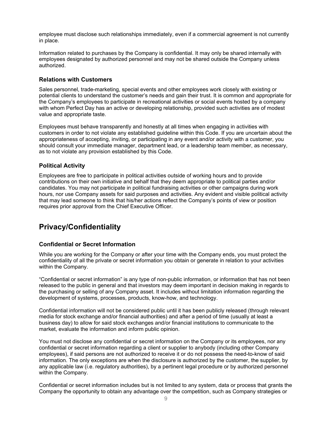employee must disclose such relationships immediately, even if a commercial agreement is not currently in place.

Information related to purchases by the Company is confidential. It may only be shared internally with employees designated by authorized personnel and may not be shared outside the Company unless authorized.

#### **Relations with Customers**

Sales personnel, trade-marketing, special events and other employees work closely with existing or potential clients to understand the customer's needs and gain their trust. It is common and appropriate for the Company's employees to participate in recreational activities or social events hosted by a company with whom Perfect Day has an active or developing relationship, provided such activities are of modest value and appropriate taste.

Employees must behave transparently and honestly at all times when engaging in activities with customers in order to not violate any established guideline within this Code. If you are uncertain about the appropriateness of accepting, inviting, or participating in any event and/or activity with a customer, you should consult your immediate manager, department lead, or a leadership team member, as necessary, as to not violate any provision established by this Code.

#### **Political Activity**

Employees are free to participate in political activities outside of working hours and to provide contributions on their own initiative and behalf that they deem appropriate to political parties and/or candidates. You may not participate in political fundraising activities or other campaigns during work hours, nor use Company assets for said purposes and activities. Any evident and visible political activity that may lead someone to think that his/her actions reflect the Company's points of view or position requires prior approval from the Chief Executive Officer.

### **Privacy/Confidentiality**

#### **Confidential or Secret Information**

While you are working for the Company or after your time with the Company ends, you must protect the confidentiality of all the private or secret information you obtain or generate in relation to your activities within the Company.

"Confidential or secret information" is any type of non-public information, or information that has not been released to the public in general and that investors may deem important in decision making in regards to the purchasing or selling of any Company asset. It includes without limitation information regarding the development of systems, processes, products, know-how, and technology.

Confidential information will not be considered public until it has been publicly released (through relevant media for stock exchange and/or financial authorities) and after a period of time (usually at least a business day) to allow for said stock exchanges and/or financial institutions to communicate to the market, evaluate the information and inform public opinion.

You must not disclose any confidential or secret information on the Company or its employees, nor any confidential or secret information regarding a client or supplier to anybody (including other Company employees), if said persons are not authorized to receive it or do not possess the need-to-know of said information. The only exceptions are when the disclosure is authorized by the customer, the supplier, by any applicable law (i.e. regulatory authorities), by a pertinent legal procedure or by authorized personnel within the Company.

Confidential or secret information includes but is not limited to any system, data or process that grants the Company the opportunity to obtain any advantage over the competition, such as Company strategies or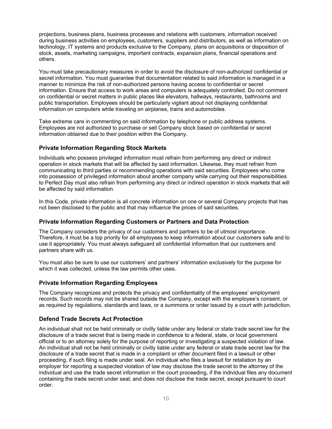projections, business plans, business processes and relations with customers, information received during business activities on employees, customers, suppliers and distributors, as well as information on technology, IT systems and products exclusive to the Company, plans on acquisitions or disposition of stock, assets, marketing campaigns, important contracts, expansion plans, financial operations and others.

You must take precautionary measures in order to avoid the disclosure of non-authorized confidential or secret information. You must guarantee that documentation related to said information is managed in a manner to minimize the risk of non-authorized persons having access to confidential or secret information. Ensure that access to work areas and computers is adequately controlled. Do not comment on confidential or secret matters in public places like elevators, hallways, restaurants, bathrooms and public transportation. Employees should be particularly vigilant about not displaying confidential information on computers while traveling on airplanes, trains and automobiles.

Take extreme care in commenting on said information by telephone or public address systems. Employees are not authorized to purchase or sell Company stock based on confidential or secret information obtained due to their position within the Company.

#### **Private Information Regarding Stock Markets**

Individuals who possess privileged information must refrain from performing any direct or indirect operation in stock markets that will be affected by said information. Likewise, they must refrain from communicating to third parties or recommending operations with said securities. Employees who come into possession of privileged information about another company while carrying out their responsibilities to Perfect Day must also refrain from performing any direct or indirect operation in stock markets that will be affected by said information.

In this Code, private information is all concrete information on one or several Company projects that has not been disclosed to the public and that may influence the prices of said securities.

#### **Private Information Regarding Customers or Partners and Data Protection**

The Company considers the privacy of our customers and partners to be of utmost importance. Therefore, it must be a top priority for all employees to keep information about our customers safe and to use it appropriately. You must always safeguard all confidential information that our customers and partners share with us.

You must also be sure to use our customers' and partners' information exclusively for the purpose for which it was collected, unless the law permits other uses.

#### **Private Information Regarding Employees**

The Company recognizes and protects the privacy and confidentiality of the employees' employment records. Such records may not be shared outside the Company, except with the employee's consent, or as required by regulations, standards and laws, or a summons or order issued by a court with jurisdiction.

#### **Defend Trade Secrets Act Protection**

An individual shall not be held criminally or civilly liable under any federal or state trade secret law for the disclosure of a trade secret that is being made in confidence to a federal, state, or local government official or to an attorney solely for the purpose of reporting or investigating a suspected violation of law. An individual shall not be held criminally or civilly liable under any federal or state trade secret law for the disclosure of a trade secret that is made in a complaint or other document filed in a lawsuit or other proceeding, if such filing is made under seal. An individual who files a lawsuit for retaliation by an employer for reporting a suspected violation of law may disclose the trade secret to the attorney of the individual and use the trade secret information in the court proceeding, if the individual files any document containing the trade secret under seal; and does not disclose the trade secret, except pursuant to court order.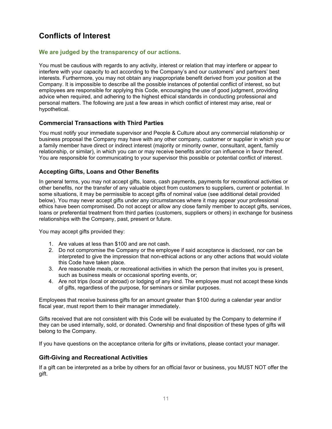# **Conflicts of Interest**

#### **We are judged by the transparency of our actions.**

You must be cautious with regards to any activity, interest or relation that may interfere or appear to interfere with your capacity to act according to the Company's and our customers' and partners' best interests. Furthermore, you may not obtain any inappropriate benefit derived from your position at the Company. It is impossible to describe all the possible instances of potential conflict of interest, so but employees are responsible for applying this Code, encouraging the use of good judgment, providing advice when required, and adhering to the highest ethical standards in conducting professional and personal matters. The following are just a few areas in which conflict of interest may arise, real or hypothetical.

#### **Commercial Transactions with Third Parties**

You must notify your immediate supervisor and People & Culture about any commercial relationship or business proposal the Company may have with any other company, customer or supplier in which you or a family member have direct or indirect interest (majority or minority owner, consultant, agent, family relationship, or similar), in which you can or may receive benefits and/or can influence in favor thereof. You are responsible for communicating to your supervisor this possible or potential conflict of interest.

#### **Accepting Gifts, Loans and Other Benefits**

In general terms, you may not accept gifts, loans, cash payments, payments for recreational activities or other benefits, nor the transfer of any valuable object from customers to suppliers, current or potential. In some situations, it may be permissible to accept gifts of nominal value (see additional detail provided below). You may never accept gifts under any circumstances where it may appear your professional ethics have been compromised. Do not accept or allow any close family member to accept gifts, services, loans or preferential treatment from third parties (customers, suppliers or others) in exchange for business relationships with the Company, past, present or future.

You may accept gifts provided they:

- 1. Are values at less than \$100 and are not cash.
- 2. Do not compromise the Company or the employee if said acceptance is disclosed, nor can be interpreted to give the impression that non-ethical actions or any other actions that would violate this Code have taken place.
- 3. Are reasonable meals, or recreational activities in which the person that invites you is present, such as business meals or occasional sporting events, or;
- 4. Are not trips (local or abroad) or lodging of any kind. The employee must not accept these kinds of gifts, regardless of the purpose, for seminars or similar purposes.

Employees that receive business gifts for an amount greater than \$100 during a calendar year and/or fiscal year, must report them to their manager immediately.

Gifts received that are not consistent with this Code will be evaluated by the Company to determine if they can be used internally, sold, or donated. Ownership and final disposition of these types of gifts will belong to the Company.

If you have questions on the acceptance criteria for gifts or invitations, please contact your manager.

#### **Gift-Giving and Recreational Activities**

If a gift can be interpreted as a bribe by others for an official favor or business, you MUST NOT offer the gift.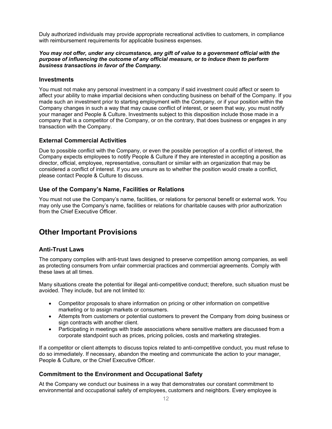Duly authorized individuals may provide appropriate recreational activities to customers, in compliance with reimbursement requirements for applicable business expenses.

#### *You may not offer, under any circumstance, any gift of value to a government official with the purpose of influencing the outcome of any official measure, or to induce them to perform business transactions in favor of the Company.*

#### **Investments**

You must not make any personal investment in a company if said investment could affect or seem to affect your ability to make impartial decisions when conducting business on behalf of the Company. If you made such an investment prior to starting employment with the Company, or if your position within the Company changes in such a way that may cause conflict of interest, or seem that way, you must notify your manager and People & Culture. Investments subject to this disposition include those made in a company that is a competitor of the Company, or on the contrary, that does business or engages in any transaction with the Company.

#### **External Commercial Activities**

Due to possible conflict with the Company, or even the possible perception of a conflict of interest, the Company expects employees to notify People & Culture if they are interested in accepting a position as director, official, employee, representative, consultant or similar with an organization that may be considered a conflict of interest. If you are unsure as to whether the position would create a conflict, please contact People & Culture to discuss.

#### **Use of the Company's Name, Facilities or Relations**

You must not use the Company's name, facilities, or relations for personal benefit or external work. You may only use the Company's name, facilities or relations for charitable causes with prior authorization from the Chief Executive Officer.

## **Other Important Provisions**

#### **Anti-Trust Laws**

The company complies with anti-trust laws designed to preserve competition among companies, as well as protecting consumers from unfair commercial practices and commercial agreements. Comply with these laws at all times.

Many situations create the potential for illegal anti-competitive conduct; therefore, such situation must be avoided. They include, but are not limited to:

- Competitor proposals to share information on pricing or other information on competitive marketing or to assign markets or consumers.
- Attempts from customers or potential customers to prevent the Company from doing business or sign contracts with another client.
- Participating in meetings with trade associations where sensitive matters are discussed from a corporate standpoint such as prices, pricing policies, costs and marketing strategies.

If a competitor or client attempts to discuss topics related to anti-competitive conduct, you must refuse to do so immediately. If necessary, abandon the meeting and communicate the action to your manager, People & Culture, or the Chief Executive Officer.

#### **Commitment to the Environment and Occupational Safety**

At the Company we conduct our business in a way that demonstrates our constant commitment to environmental and occupational safety of employees, customers and neighbors. Every employee is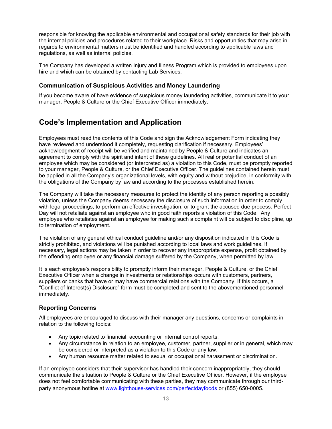responsible for knowing the applicable environmental and occupational safety standards for their job with the internal policies and procedures related to their workplace. Risks and opportunities that may arise in regards to environmental matters must be identified and handled according to applicable laws and regulations, as well as internal policies.

The Company has developed a written Injury and Illness Program which is provided to employees upon hire and which can be obtained by contacting Lab Services.

#### **Communication of Suspicious Activities and Money Laundering**

If you become aware of have evidence of suspicious money laundering activities, communicate it to your manager, People & Culture or the Chief Executive Officer immediately.

## **Code's Implementation and Application**

Employees must read the contents of this Code and sign the Acknowledgement Form indicating they have reviewed and understood it completely, requesting clarification if necessary. Employees' acknowledgment of receipt will be verified and maintained by People & Culture and indicates an agreement to comply with the spirit and intent of these guidelines. All real or potential conduct of an employee which may be considered (or interpreted as) a violation to this Code, must be promptly reported to your manager, People & Culture, or the Chief Executive Officer. The guidelines contained herein must be applied in all the Company's organizational levels, with equity and without prejudice, in conformity with the obligations of the Company by law and according to the processes established herein.

The Company will take the necessary measures to protect the identity of any person reporting a possibly violation, unless the Company deems necessary the disclosure of such information in order to comply with legal proceedings, to perform an effective investigation, or to grant the accused due process. Perfect Day will not retaliate against an employee who in good faith reports a violation of this Code. Any employee who retaliates against an employee for making such a complaint will be subject to discipline, up to termination of employment.

The violation of any general ethical conduct guideline and/or any disposition indicated in this Code is strictly prohibited, and violations will be punished according to local laws and work guidelines. If necessary, legal actions may be taken in order to recover any inappropriate expense, profit obtained by the offending employee or any financial damage suffered by the Company, when permitted by law.

It is each employee's responsibility to promptly inform their manager, People & Culture, or the Chief Executive Officer when a change in investments or relationships occurs with customers, partners, suppliers or banks that have or may have commercial relations with the Company. If this occurs, a "Conflict of Interest(s) Disclosure" form must be completed and sent to the abovementioned personnel immediately.

#### **Reporting Concerns**

All employees are encouraged to discuss with their manager any questions, concerns or complaints in relation to the following topics:

- Any topic related to financial, accounting or internal control reports.
- Any circumstance in relation to an employee, customer, partner, supplier or in general, which may be considered or interpreted as a violation to this Code or any law.
- Any human resource matter related to sexual or occupational harassment or discrimination.

If an employee considers that their supervisor has handled their concern inappropriately, they should communicate the situation to People & Culture or the Chief Executive Officer. However, if the employee does not feel comfortable communicating with these parties, they may communicate through our thirdparty anonymous hotline at www.lighthouse-services.com/perfectdayfoods or (855) 650-0005.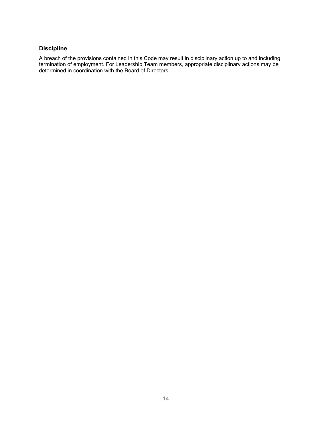#### **Discipline**

A breach of the provisions contained in this Code may result in disciplinary action up to and including termination of employment. For Leadership Team members, appropriate disciplinary actions may be determined in coordination with the Board of Directors.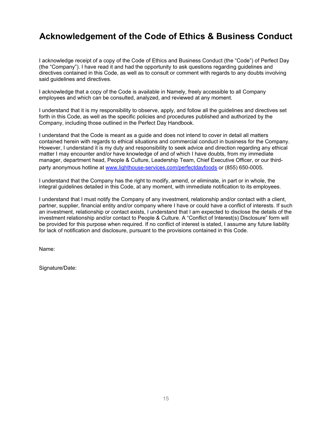# **Acknowledgement of the Code of Ethics & Business Conduct**

I acknowledge receipt of a copy of the Code of Ethics and Business Conduct (the "Code") of Perfect Day (the "Company"). I have read it and had the opportunity to ask questions regarding guidelines and directives contained in this Code, as well as to consult or comment with regards to any doubts involving said guidelines and directives.

I acknowledge that a copy of the Code is available in Namely, freely accessible to all Company employees and which can be consulted, analyzed, and reviewed at any moment.

I understand that it is my responsibility to observe, apply, and follow all the guidelines and directives set forth in this Code, as well as the specific policies and procedures published and authorized by the Company, including those outlined in the Perfect Day Handbook.

I understand that the Code is meant as a guide and does not intend to cover in detail all matters contained herein with regards to ethical situations and commercial conduct in business for the Company. However, I understand it is my duty and responsibility to seek advice and direction regarding any ethical matter I may encounter and/or have knowledge of and of which I have doubts, from my immediate manager, department head, People & Culture, Leadership Team, Chief Executive Officer, or our thirdparty anonymous hotline at www.lighthouse-services.com/perfectdayfoods or (855) 650-0005.

I understand that the Company has the right to modify, amend, or eliminate, in part or in whole, the integral guidelines detailed in this Code, at any moment, with immediate notification to its employees.

I understand that I must notify the Company of any investment, relationship and/or contact with a client, partner, supplier, financial entity and/or company where I have or could have a conflict of interests. If such an investment, relationship or contact exists, I understand that I am expected to disclose the details of the investment relationship and/or contact to People & Culture. A "Conflict of Interest(s) Disclosure" form will be provided for this purpose when required. If no conflict of interest is stated, I assume any future liability for lack of notification and disclosure, pursuant to the provisions contained in this Code.

Name:

Signature/Date: